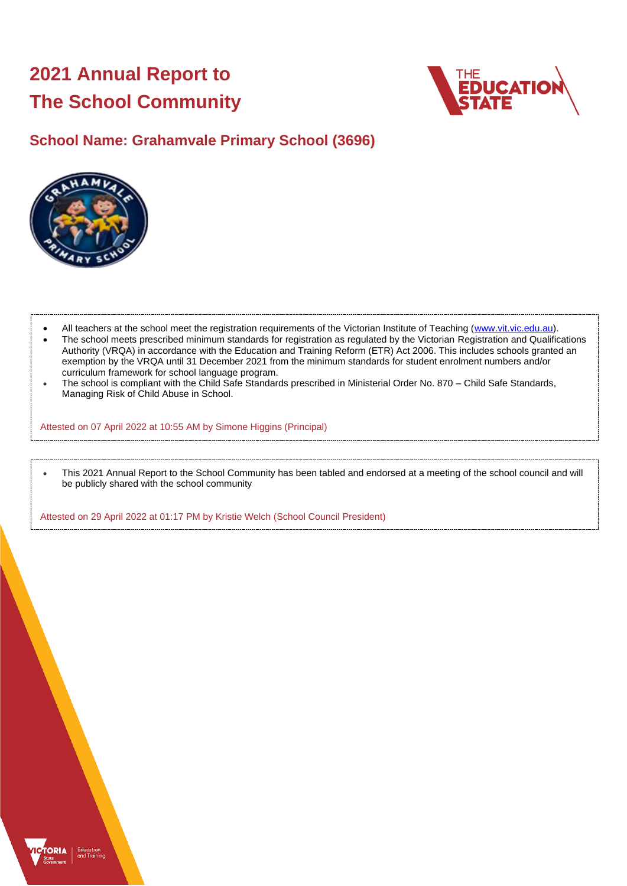# **2021 Annual Report to The School Community**



# **School Name: Grahamvale Primary School (3696)**



- All teachers at the school meet the registration requirements of the Victorian Institute of Teaching [\(www.vit.vic.edu.au\)](https://www.vit.vic.edu.au/).
- The school meets prescribed minimum standards for registration as regulated by the Victorian Registration and Qualifications Authority (VRQA) in accordance with the Education and Training Reform (ETR) Act 2006. This includes schools granted an exemption by the VRQA until 31 December 2021 from the minimum standards for student enrolment numbers and/or curriculum framework for school language program.
- The school is compliant with the Child Safe Standards prescribed in Ministerial Order No. 870 Child Safe Standards, Managing Risk of Child Abuse in School.

Attested on 07 April 2022 at 10:55 AM by Simone Higgins (Principal)

• This 2021 Annual Report to the School Community has been tabled and endorsed at a meeting of the school council and will be publicly shared with the school community

Attested on 29 April 2022 at 01:17 PM by Kristie Welch (School Council President)

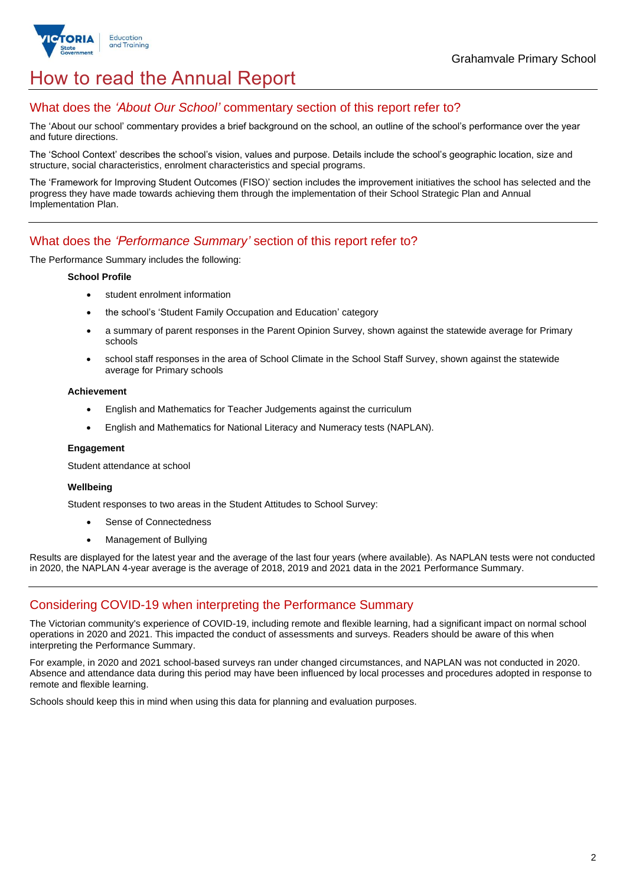

# How to read the Annual Report

## What does the *'About Our School'* commentary section of this report refer to?

The 'About our school' commentary provides a brief background on the school, an outline of the school's performance over the year and future directions.

The 'School Context' describes the school's vision, values and purpose. Details include the school's geographic location, size and structure, social characteristics, enrolment characteristics and special programs.

The 'Framework for Improving Student Outcomes (FISO)' section includes the improvement initiatives the school has selected and the progress they have made towards achieving them through the implementation of their School Strategic Plan and Annual Implementation Plan.

## What does the *'Performance Summary'* section of this report refer to?

The Performance Summary includes the following:

#### **School Profile**

- student enrolment information
- the school's 'Student Family Occupation and Education' category
- a summary of parent responses in the Parent Opinion Survey, shown against the statewide average for Primary schools
- school staff responses in the area of School Climate in the School Staff Survey, shown against the statewide average for Primary schools

#### **Achievement**

- English and Mathematics for Teacher Judgements against the curriculum
- English and Mathematics for National Literacy and Numeracy tests (NAPLAN).

#### **Engagement**

Student attendance at school

### **Wellbeing**

Student responses to two areas in the Student Attitudes to School Survey:

- Sense of Connectedness
- Management of Bullying

Results are displayed for the latest year and the average of the last four years (where available). As NAPLAN tests were not conducted in 2020, the NAPLAN 4-year average is the average of 2018, 2019 and 2021 data in the 2021 Performance Summary.

## Considering COVID-19 when interpreting the Performance Summary

The Victorian community's experience of COVID-19, including remote and flexible learning, had a significant impact on normal school operations in 2020 and 2021. This impacted the conduct of assessments and surveys. Readers should be aware of this when interpreting the Performance Summary.

For example, in 2020 and 2021 school-based surveys ran under changed circumstances, and NAPLAN was not conducted in 2020. Absence and attendance data during this period may have been influenced by local processes and procedures adopted in response to remote and flexible learning.

Schools should keep this in mind when using this data for planning and evaluation purposes.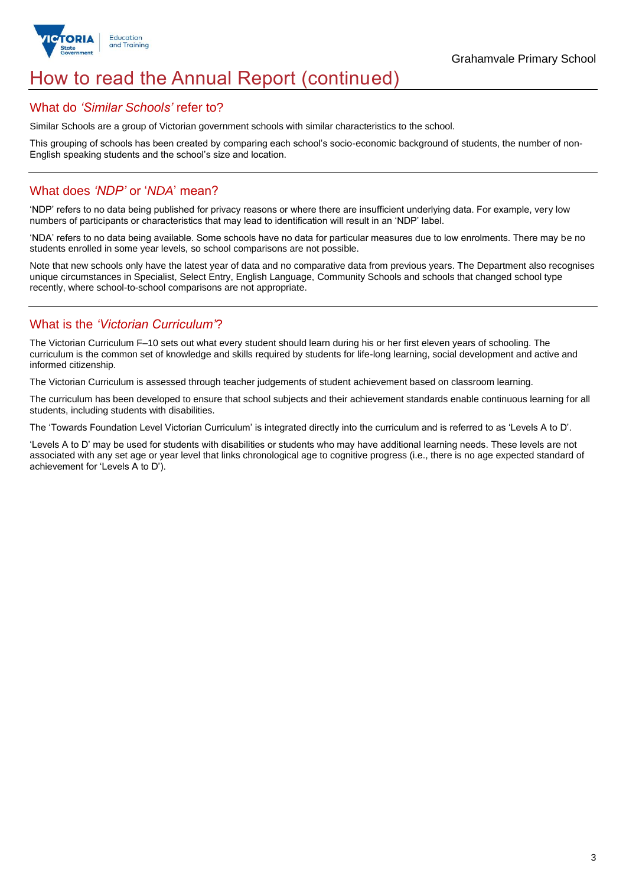

# How to read the Annual Report (continued)

## What do *'Similar Schools'* refer to?

Similar Schools are a group of Victorian government schools with similar characteristics to the school.

This grouping of schools has been created by comparing each school's socio-economic background of students, the number of non-English speaking students and the school's size and location.

## What does *'NDP'* or '*NDA*' mean?

'NDP' refers to no data being published for privacy reasons or where there are insufficient underlying data. For example, very low numbers of participants or characteristics that may lead to identification will result in an 'NDP' label.

'NDA' refers to no data being available. Some schools have no data for particular measures due to low enrolments. There may be no students enrolled in some year levels, so school comparisons are not possible.

Note that new schools only have the latest year of data and no comparative data from previous years. The Department also recognises unique circumstances in Specialist, Select Entry, English Language, Community Schools and schools that changed school type recently, where school-to-school comparisons are not appropriate.

## What is the *'Victorian Curriculum'*?

The Victorian Curriculum F–10 sets out what every student should learn during his or her first eleven years of schooling. The curriculum is the common set of knowledge and skills required by students for life-long learning, social development and active and informed citizenship.

The Victorian Curriculum is assessed through teacher judgements of student achievement based on classroom learning.

The curriculum has been developed to ensure that school subjects and their achievement standards enable continuous learning for all students, including students with disabilities.

The 'Towards Foundation Level Victorian Curriculum' is integrated directly into the curriculum and is referred to as 'Levels A to D'.

'Levels A to D' may be used for students with disabilities or students who may have additional learning needs. These levels are not associated with any set age or year level that links chronological age to cognitive progress (i.e., there is no age expected standard of achievement for 'Levels A to D').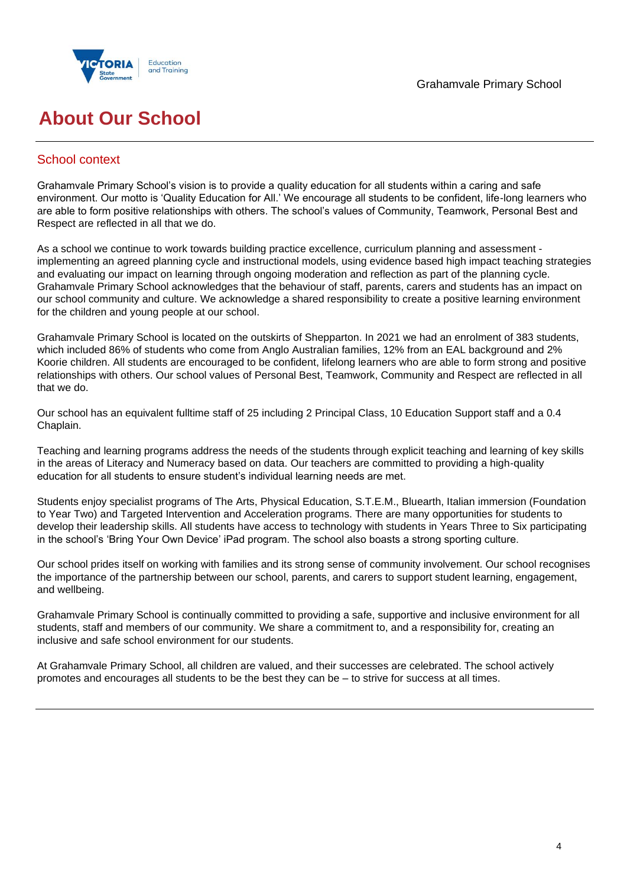



# **About Our School**

## School context

Grahamvale Primary School's vision is to provide a quality education for all students within a caring and safe environment. Our motto is 'Quality Education for All.' We encourage all students to be confident, life-long learners who are able to form positive relationships with others. The school's values of Community, Teamwork, Personal Best and Respect are reflected in all that we do.

As a school we continue to work towards building practice excellence, curriculum planning and assessment implementing an agreed planning cycle and instructional models, using evidence based high impact teaching strategies and evaluating our impact on learning through ongoing moderation and reflection as part of the planning cycle. Grahamvale Primary School acknowledges that the behaviour of staff, parents, carers and students has an impact on our school community and culture. We acknowledge a shared responsibility to create a positive learning environment for the children and young people at our school.

Grahamvale Primary School is located on the outskirts of Shepparton. In 2021 we had an enrolment of 383 students, which included 86% of students who come from Anglo Australian families, 12% from an EAL background and 2% Koorie children. All students are encouraged to be confident, lifelong learners who are able to form strong and positive relationships with others. Our school values of Personal Best, Teamwork, Community and Respect are reflected in all that we do.

Our school has an equivalent fulltime staff of 25 including 2 Principal Class, 10 Education Support staff and a 0.4 Chaplain.

Teaching and learning programs address the needs of the students through explicit teaching and learning of key skills in the areas of Literacy and Numeracy based on data. Our teachers are committed to providing a high-quality education for all students to ensure student's individual learning needs are met.

Students enjoy specialist programs of The Arts, Physical Education, S.T.E.M., Bluearth, Italian immersion (Foundation to Year Two) and Targeted Intervention and Acceleration programs. There are many opportunities for students to develop their leadership skills. All students have access to technology with students in Years Three to Six participating in the school's 'Bring Your Own Device' iPad program. The school also boasts a strong sporting culture.

Our school prides itself on working with families and its strong sense of community involvement. Our school recognises the importance of the partnership between our school, parents, and carers to support student learning, engagement, and wellbeing.

Grahamvale Primary School is continually committed to providing a safe, supportive and inclusive environment for all students, staff and members of our community. We share a commitment to, and a responsibility for, creating an inclusive and safe school environment for our students.

At Grahamvale Primary School, all children are valued, and their successes are celebrated. The school actively promotes and encourages all students to be the best they can be – to strive for success at all times.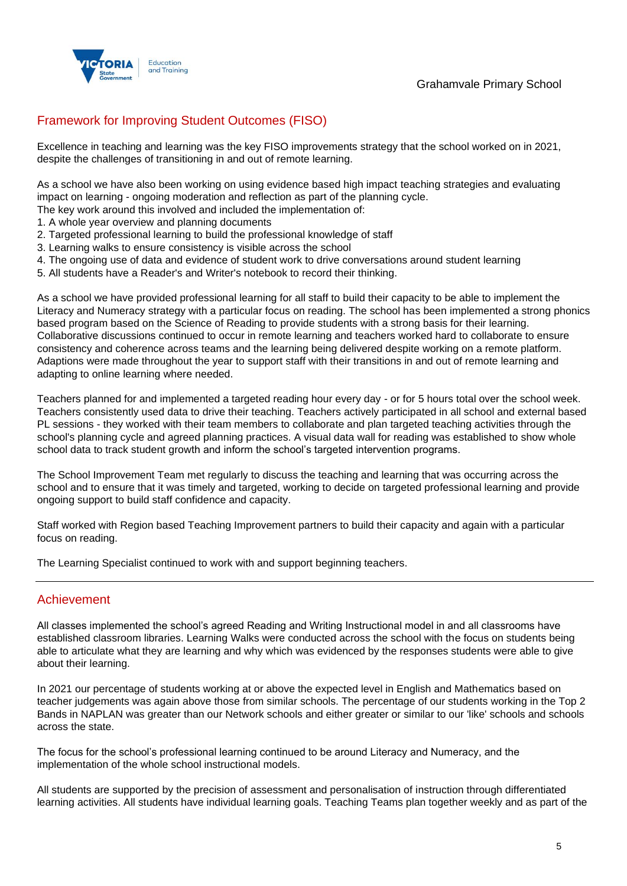



# Framework for Improving Student Outcomes (FISO)

Excellence in teaching and learning was the key FISO improvements strategy that the school worked on in 2021, despite the challenges of transitioning in and out of remote learning.

As a school we have also been working on using evidence based high impact teaching strategies and evaluating impact on learning - ongoing moderation and reflection as part of the planning cycle.

The key work around this involved and included the implementation of:

- 1. A whole year overview and planning documents
- 2. Targeted professional learning to build the professional knowledge of staff
- 3. Learning walks to ensure consistency is visible across the school
- 4. The ongoing use of data and evidence of student work to drive conversations around student learning
- 5. All students have a Reader's and Writer's notebook to record their thinking.

As a school we have provided professional learning for all staff to build their capacity to be able to implement the Literacy and Numeracy strategy with a particular focus on reading. The school has been implemented a strong phonics based program based on the Science of Reading to provide students with a strong basis for their learning. Collaborative discussions continued to occur in remote learning and teachers worked hard to collaborate to ensure consistency and coherence across teams and the learning being delivered despite working on a remote platform. Adaptions were made throughout the year to support staff with their transitions in and out of remote learning and adapting to online learning where needed.

Teachers planned for and implemented a targeted reading hour every day - or for 5 hours total over the school week. Teachers consistently used data to drive their teaching. Teachers actively participated in all school and external based PL sessions - they worked with their team members to collaborate and plan targeted teaching activities through the school's planning cycle and agreed planning practices. A visual data wall for reading was established to show whole school data to track student growth and inform the school's targeted intervention programs.

The School Improvement Team met regularly to discuss the teaching and learning that was occurring across the school and to ensure that it was timely and targeted, working to decide on targeted professional learning and provide ongoing support to build staff confidence and capacity.

Staff worked with Region based Teaching Improvement partners to build their capacity and again with a particular focus on reading.

The Learning Specialist continued to work with and support beginning teachers.

## Achievement

All classes implemented the school's agreed Reading and Writing Instructional model in and all classrooms have established classroom libraries. Learning Walks were conducted across the school with the focus on students being able to articulate what they are learning and why which was evidenced by the responses students were able to give about their learning.

In 2021 our percentage of students working at or above the expected level in English and Mathematics based on teacher judgements was again above those from similar schools. The percentage of our students working in the Top 2 Bands in NAPLAN was greater than our Network schools and either greater or similar to our 'like' schools and schools across the state.

The focus for the school's professional learning continued to be around Literacy and Numeracy, and the implementation of the whole school instructional models.

All students are supported by the precision of assessment and personalisation of instruction through differentiated learning activities. All students have individual learning goals. Teaching Teams plan together weekly and as part of the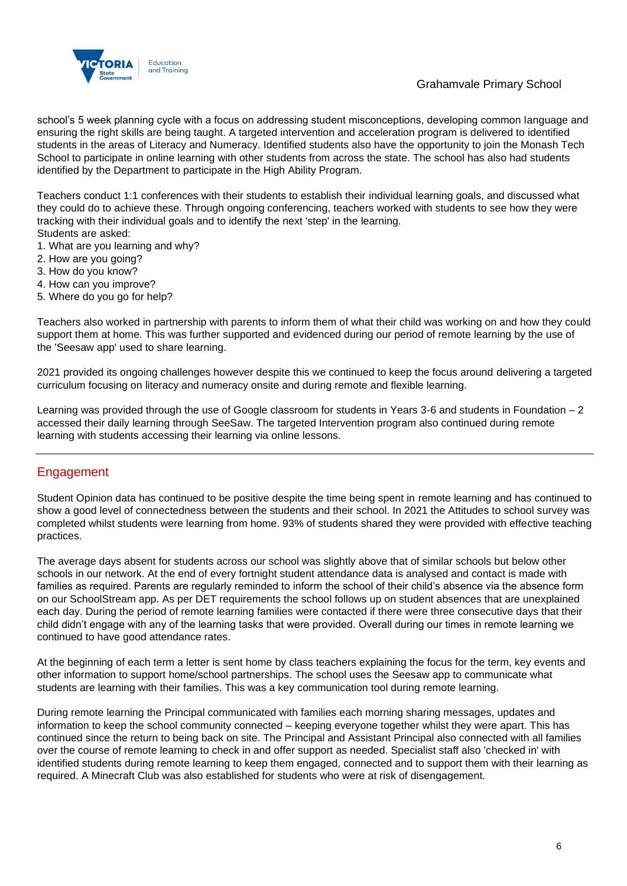

## Grahamvale Primary School

school's 5 week planning cycle with a focus on addressing student misconceptions, developing common language and ensuring the right skills are being taught. A targeted intervention and acceleration program is delivered to identified students in the areas of Literacy and Numeracy. Identified students also have the opportunity to join the Monash Tech School to participate in online learning with other students from across the state. The school has also had students identified by the Department to participate in the High Ability Program.

Teachers conduct 1:1 conferences with their students to establish their individual learning goals, and discussed what they could do to achieve these. Through ongoing conferencing, teachers worked with students to see how they were tracking with their individual goals and to identify the next 'step' in the learning.

- Students are asked:
- 1. What are you learning and why?
- 2. How are you going? 3. How do you know?
- 4. How can you improve?
- 5. Where do you go for help?

Teachers also worked in partnership with parents to inform them of what their child was working on and how they could support them at home. This was further supported and evidenced during our period of remote learning by the use of the 'Seesaw app' used to share learning.

2021 provided its ongoing challenges however despite this we continued to keep the focus around delivering a targeted curriculum focusing on literacy and numeracy onsite and during remote and flexible learning.

Learning was provided through the use of Google classroom for students in Years 3-6 and students in Foundation – 2 accessed their daily learning through SeeSaw. The targeted Intervention program also continued during remote learning with students accessing their learning via online lessons.

## Engagement

Student Opinion data has continued to be positive despite the time being spent in remote learning and has continued to show a good level of connectedness between the students and their school. In 2021 the Attitudes to school survey was completed whilst students were learning from home. 93% of students shared they were provided with effective teaching practices.

The average days absent for students across our school was slightly above that of similar schools but below other schools in our network. At the end of every fortnight student attendance data is analysed and contact is made with families as required. Parents are regularly reminded to inform the school of their child's absence via the absence form on our SchoolStream app. As per DET requirements the school follows up on student absences that are unexplained each day. During the period of remote learning families were contacted if there were three consecutive days that their child didn't engage with any of the learning tasks that were provided. Overall during our times in remote learning we continued to have good attendance rates.

At the beginning of each term a letter is sent home by class teachers explaining the focus for the term, key events and other information to support home/school partnerships. The school uses the Seesaw app to communicate what students are learning with their families. This was a key communication tool during remote learning.

During remote learning the Principal communicated with families each morning sharing messages, updates and information to keep the school community connected – keeping everyone together whilst they were apart. This has continued since the return to being back on site. The Principal and Assistant Principal also connected with all families over the course of remote learning to check in and offer support as needed. Specialist staff also 'checked in' with identified students during remote learning to keep them engaged, connected and to support them with their learning as required. A Minecraft Club was also established for students who were at risk of disengagement.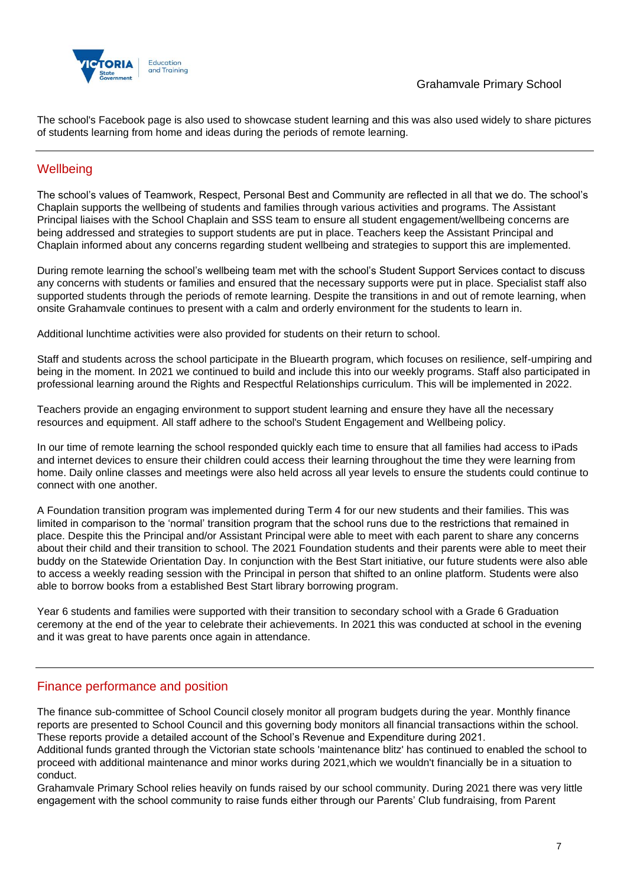The school's Facebook page is also used to showcase student learning and this was also used widely to share pictures of students learning from home and ideas during the periods of remote learning.

# **Wellbeing**

The school's values of Teamwork, Respect, Personal Best and Community are reflected in all that we do. The school's Chaplain supports the wellbeing of students and families through various activities and programs. The Assistant Principal liaises with the School Chaplain and SSS team to ensure all student engagement/wellbeing concerns are being addressed and strategies to support students are put in place. Teachers keep the Assistant Principal and Chaplain informed about any concerns regarding student wellbeing and strategies to support this are implemented.

During remote learning the school's wellbeing team met with the school's Student Support Services contact to discuss any concerns with students or families and ensured that the necessary supports were put in place. Specialist staff also supported students through the periods of remote learning. Despite the transitions in and out of remote learning, when onsite Grahamvale continues to present with a calm and orderly environment for the students to learn in.

Additional lunchtime activities were also provided for students on their return to school.

Staff and students across the school participate in the Bluearth program, which focuses on resilience, self-umpiring and being in the moment. In 2021 we continued to build and include this into our weekly programs. Staff also participated in professional learning around the Rights and Respectful Relationships curriculum. This will be implemented in 2022.

Teachers provide an engaging environment to support student learning and ensure they have all the necessary resources and equipment. All staff adhere to the school's Student Engagement and Wellbeing policy.

In our time of remote learning the school responded quickly each time to ensure that all families had access to iPads and internet devices to ensure their children could access their learning throughout the time they were learning from home. Daily online classes and meetings were also held across all year levels to ensure the students could continue to connect with one another.

A Foundation transition program was implemented during Term 4 for our new students and their families. This was limited in comparison to the 'normal' transition program that the school runs due to the restrictions that remained in place. Despite this the Principal and/or Assistant Principal were able to meet with each parent to share any concerns about their child and their transition to school. The 2021 Foundation students and their parents were able to meet their buddy on the Statewide Orientation Day. In conjunction with the Best Start initiative, our future students were also able to access a weekly reading session with the Principal in person that shifted to an online platform. Students were also able to borrow books from a established Best Start library borrowing program.

Year 6 students and families were supported with their transition to secondary school with a Grade 6 Graduation ceremony at the end of the year to celebrate their achievements. In 2021 this was conducted at school in the evening and it was great to have parents once again in attendance.

## Finance performance and position

The finance sub-committee of School Council closely monitor all program budgets during the year. Monthly finance reports are presented to School Council and this governing body monitors all financial transactions within the school. These reports provide a detailed account of the School's Revenue and Expenditure during 2021.

Additional funds granted through the Victorian state schools 'maintenance blitz' has continued to enabled the school to proceed with additional maintenance and minor works during 2021,which we wouldn't financially be in a situation to conduct.

Grahamvale Primary School relies heavily on funds raised by our school community. During 2021 there was very little engagement with the school community to raise funds either through our Parents' Club fundraising, from Parent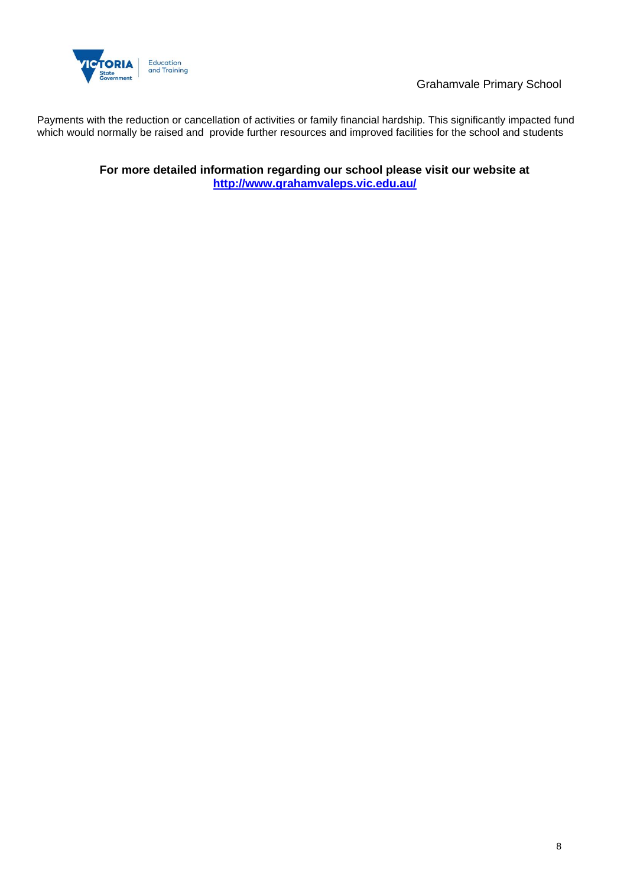

Grahamvale Primary School

Payments with the reduction or cancellation of activities or family financial hardship. This significantly impacted fund which would normally be raised and provide further resources and improved facilities for the school and students

> **For more detailed information regarding our school please visit our website at <http://www.grahamvaleps.vic.edu.au/>**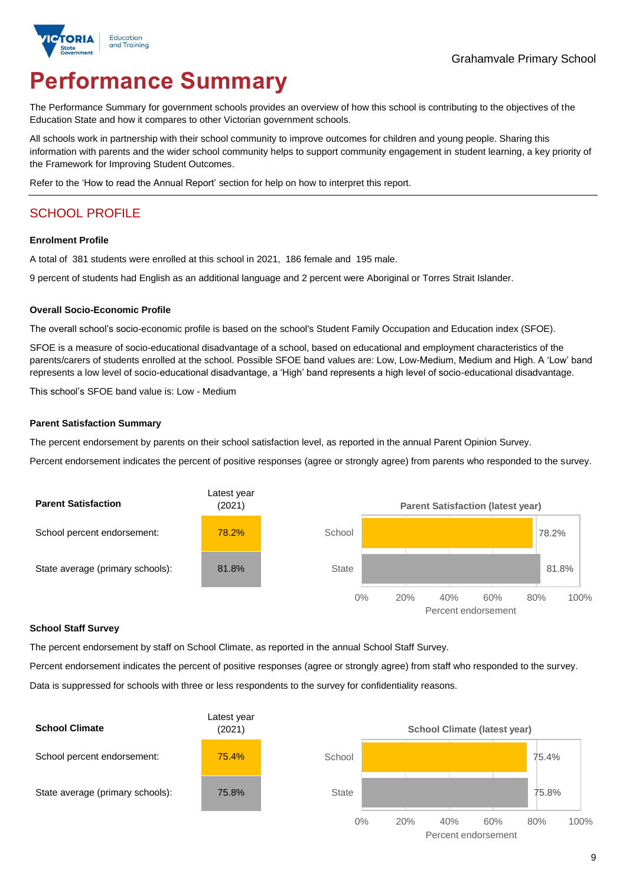

# **Performance Summary**

The Performance Summary for government schools provides an overview of how this school is contributing to the objectives of the Education State and how it compares to other Victorian government schools.

All schools work in partnership with their school community to improve outcomes for children and young people. Sharing this information with parents and the wider school community helps to support community engagement in student learning, a key priority of the Framework for Improving Student Outcomes.

Refer to the 'How to read the Annual Report' section for help on how to interpret this report.

# SCHOOL PROFILE

#### **Enrolment Profile**

A total of 381 students were enrolled at this school in 2021, 186 female and 195 male.

9 percent of students had English as an additional language and 2 percent were Aboriginal or Torres Strait Islander.

#### **Overall Socio-Economic Profile**

The overall school's socio-economic profile is based on the school's Student Family Occupation and Education index (SFOE).

SFOE is a measure of socio-educational disadvantage of a school, based on educational and employment characteristics of the parents/carers of students enrolled at the school. Possible SFOE band values are: Low, Low-Medium, Medium and High. A 'Low' band represents a low level of socio-educational disadvantage, a 'High' band represents a high level of socio-educational disadvantage.

This school's SFOE band value is: Low - Medium

#### **Parent Satisfaction Summary**

The percent endorsement by parents on their school satisfaction level, as reported in the annual Parent Opinion Survey.

Percent endorsement indicates the percent of positive responses (agree or strongly agree) from parents who responded to the survey.



#### **School Staff Survey**

The percent endorsement by staff on School Climate, as reported in the annual School Staff Survey.

Percent endorsement indicates the percent of positive responses (agree or strongly agree) from staff who responded to the survey. Data is suppressed for schools with three or less respondents to the survey for confidentiality reasons.

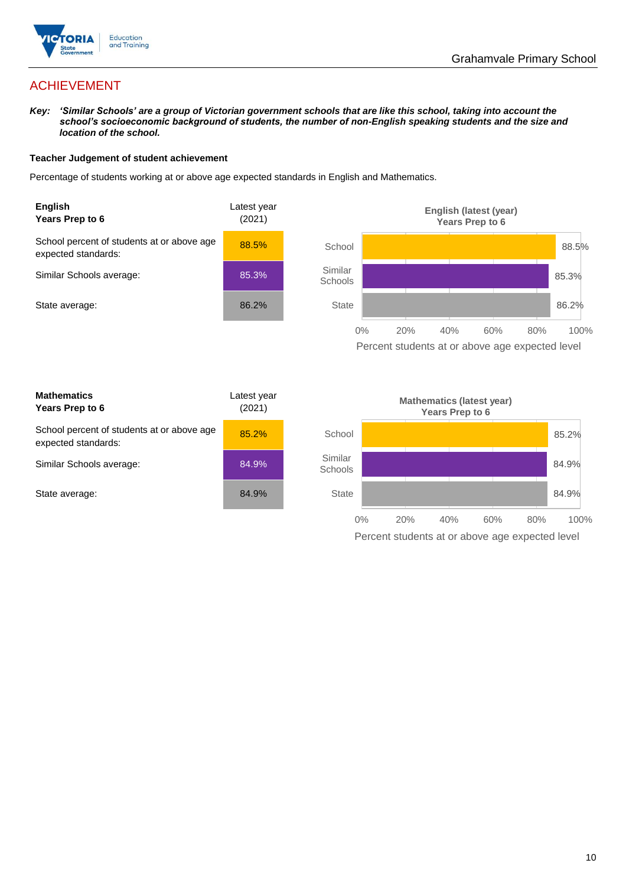

# ACHIEVEMENT

*Key: 'Similar Schools' are a group of Victorian government schools that are like this school, taking into account the school's socioeconomic background of students, the number of non-English speaking students and the size and location of the school.*

### **Teacher Judgement of student achievement**

Percentage of students working at or above age expected standards in English and Mathematics.



Percent students at or above age expected level

| <b>Mathematics</b><br>Years Prep to 6                             | Latest year<br>(2021) |
|-------------------------------------------------------------------|-----------------------|
| School percent of students at or above age<br>expected standards: | 85.2%                 |
| Similar Schools average:                                          | 84.9%                 |
| State average:                                                    | 84.9%                 |

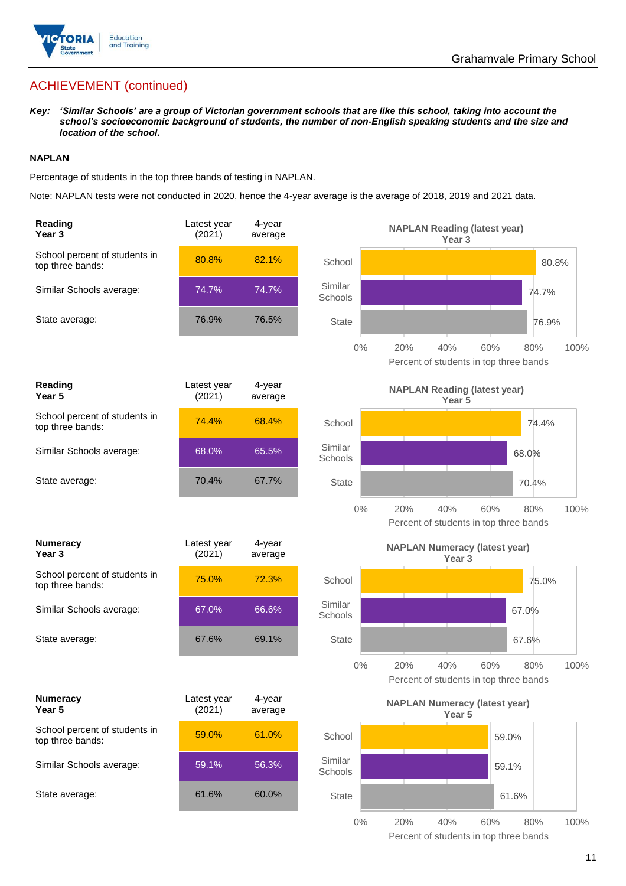

# ACHIEVEMENT (continued)

*Key: 'Similar Schools' are a group of Victorian government schools that are like this school, taking into account the school's socioeconomic background of students, the number of non-English speaking students and the size and location of the school.*

### **NAPLAN**

Percentage of students in the top three bands of testing in NAPLAN.

Note: NAPLAN tests were not conducted in 2020, hence the 4-year average is the average of 2018, 2019 and 2021 data.

| Reading<br>Year <sub>3</sub>                      | Latest year<br>(2021) | 4-year<br>average |                    | <b>NAPLAN Reading (latest year)</b><br>Year 3                      |       |
|---------------------------------------------------|-----------------------|-------------------|--------------------|--------------------------------------------------------------------|-------|
| School percent of students in<br>top three bands: | 80.8%                 | 82.1%             | School             |                                                                    | 80.8% |
| Similar Schools average:                          | 74.7%                 | 74.7%             | Similar<br>Schools | 74.7%                                                              |       |
| State average:                                    | 76.9%                 | 76.5%             | <b>State</b>       |                                                                    | 76.9% |
|                                                   |                       |                   | $0\%$              | 60%<br>20%<br>40%<br>80%<br>Percent of students in top three bands | 100%  |
| Reading<br>Year 5                                 | Latest year<br>(2021) | 4-year<br>average |                    | <b>NAPLAN Reading (latest year)</b><br>Year 5                      |       |
| School percent of students in<br>top three bands: | 74.4%                 | 68.4%             | School             | 74.4%                                                              |       |
| Similar Schools average:                          | 68.0%                 | 65.5%             | Similar<br>Schools | 68.0%                                                              |       |
| State average:                                    | 70.4%                 | 67.7%             | <b>State</b>       | 70.4%                                                              |       |
|                                                   |                       |                   | $0\%$              | 20%<br>40%<br>60%<br>80%<br>Percent of students in top three bands | 100%  |
|                                                   |                       |                   |                    |                                                                    |       |
| <b>Numeracy</b><br>Year <sub>3</sub>              | Latest year<br>(2021) | 4-year<br>average |                    | <b>NAPLAN Numeracy (latest year)</b><br>Year <sub>3</sub>          |       |
| School percent of students in<br>top three bands: | 75.0%                 | 72.3%             | School             | 75.0%                                                              |       |
| Similar Schools average:                          | 67.0%                 | 66.6%             | Similar<br>Schools | 67.0%                                                              |       |
| State average:                                    | 67.6%                 | 69.1%             | <b>State</b>       | 67.6%                                                              |       |
|                                                   |                       |                   | $0\%$              | 20%<br>40%<br>60%<br>80%<br>Percent of students in top three bands | 100%  |
| <b>Numeracy</b><br>Year 5                         | Latest year<br>(2021) | 4-year<br>average |                    | <b>NAPLAN Numeracy (latest year)</b><br>Year 5                     |       |
| School percent of students in<br>top three bands: | 59.0%                 | 61.0%             | School             | 59.0%                                                              |       |
| Similar Schools average:                          | 59.1%                 | 56.3%             | Similar<br>Schools | 59.1%                                                              |       |
| State average:                                    | 61.6%                 | 60.0%             | <b>State</b>       | 61.6%                                                              |       |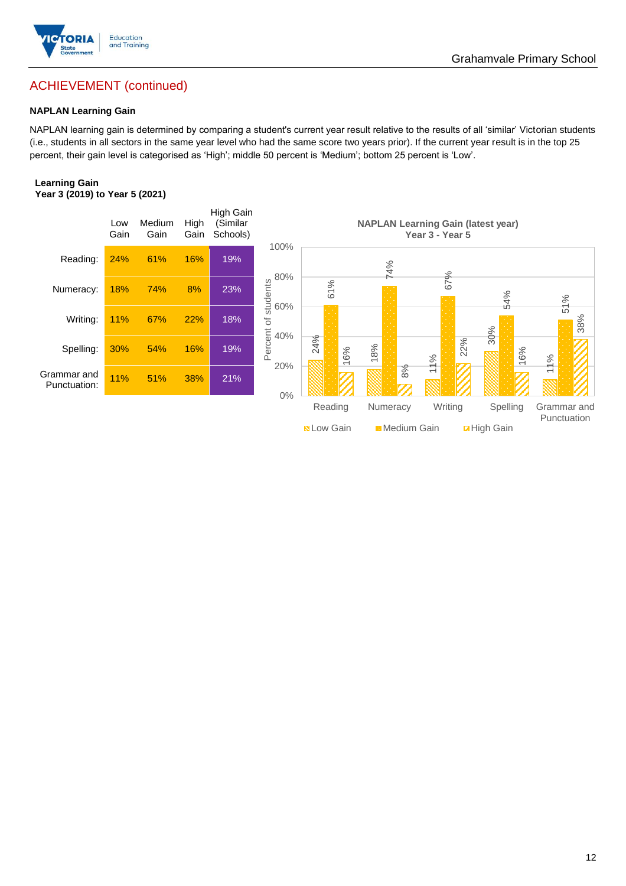

# ACHIEVEMENT (continued)

## **NAPLAN Learning Gain**

NAPLAN learning gain is determined by comparing a student's current year result relative to the results of all 'similar' Victorian students (i.e., students in all sectors in the same year level who had the same score two years prior). If the current year result is in the top 25 percent, their gain level is categorised as 'High'; middle 50 percent is 'Medium'; bottom 25 percent is 'Low'.

#### **Learning Gain Year 3 (2019) to Year 5 (2021)**

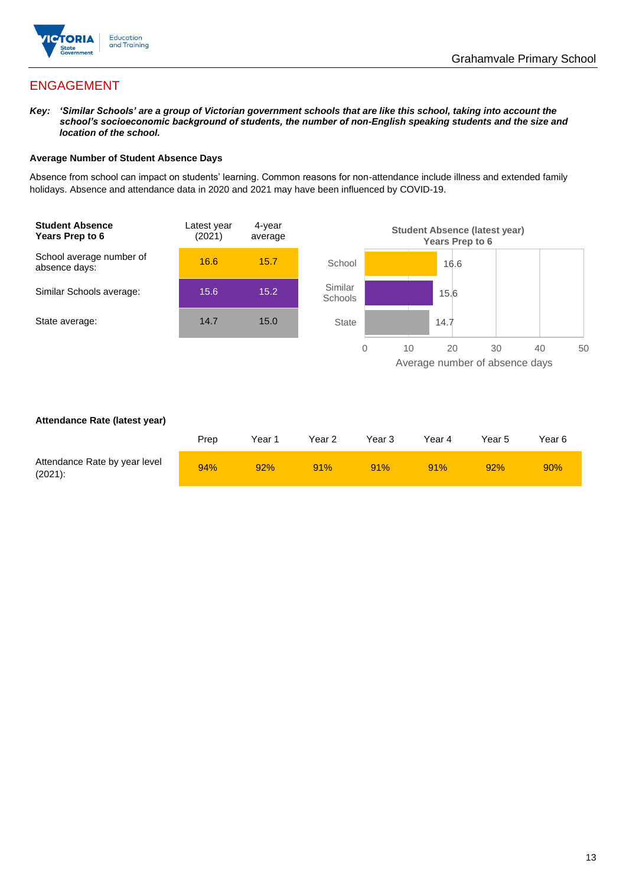

# ENGAGEMENT

*Key: 'Similar Schools' are a group of Victorian government schools that are like this school, taking into account the school's socioeconomic background of students, the number of non-English speaking students and the size and location of the school.*

### **Average Number of Student Absence Days**

Absence from school can impact on students' learning. Common reasons for non-attendance include illness and extended family holidays. Absence and attendance data in 2020 and 2021 may have been influenced by COVID-19.



### **Attendance Rate (latest year)**

|                                             | Prep | Year 1 | Year 2 | Year 3 | Year 4 | Year 5 | Year 6 |
|---------------------------------------------|------|--------|--------|--------|--------|--------|--------|
| Attendance Rate by year level<br>$(2021)$ : | 94%  | 92%    | 91%    | 91%    | 91%    | 92%    | 90%    |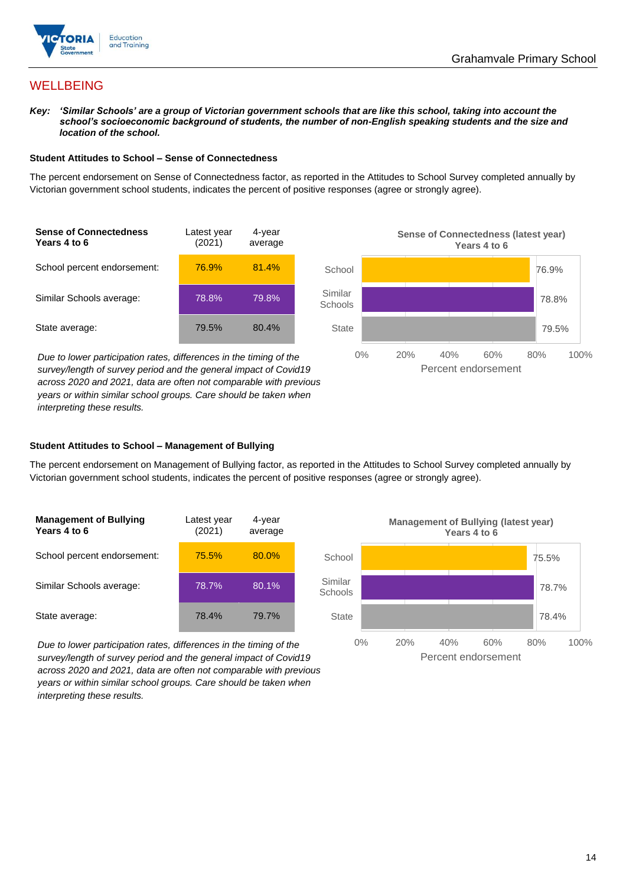

## **WELLBEING**

*Key: 'Similar Schools' are a group of Victorian government schools that are like this school, taking into account the school's socioeconomic background of students, the number of non-English speaking students and the size and location of the school.*

#### **Student Attitudes to School – Sense of Connectedness**

The percent endorsement on Sense of Connectedness factor, as reported in the Attitudes to School Survey completed annually by Victorian government school students, indicates the percent of positive responses (agree or strongly agree).



*Due to lower participation rates, differences in the timing of the survey/length of survey period and the general impact of Covid19 across 2020 and 2021, data are often not comparable with previous years or within similar school groups. Care should be taken when interpreting these results.*



### **Student Attitudes to School – Management of Bullying**

The percent endorsement on Management of Bullying factor, as reported in the Attitudes to School Survey completed annually by Victorian government school students, indicates the percent of positive responses (agree or strongly agree).

| <b>Management of Bullying</b><br>Years 4 to 6 | Latest year<br>(2021) | 4-year<br>average |  |
|-----------------------------------------------|-----------------------|-------------------|--|
| School percent endorsement:                   | 75.5%                 | 80.0%             |  |
| Similar Schools average:                      | 78.7%                 | 80.1%             |  |
| State average:                                | 78.4%                 | 79.7%             |  |

*Due to lower participation rates, differences in the timing of the survey/length of survey period and the general impact of Covid19 across 2020 and 2021, data are often not comparable with previous years or within similar school groups. Care should be taken when interpreting these results.*

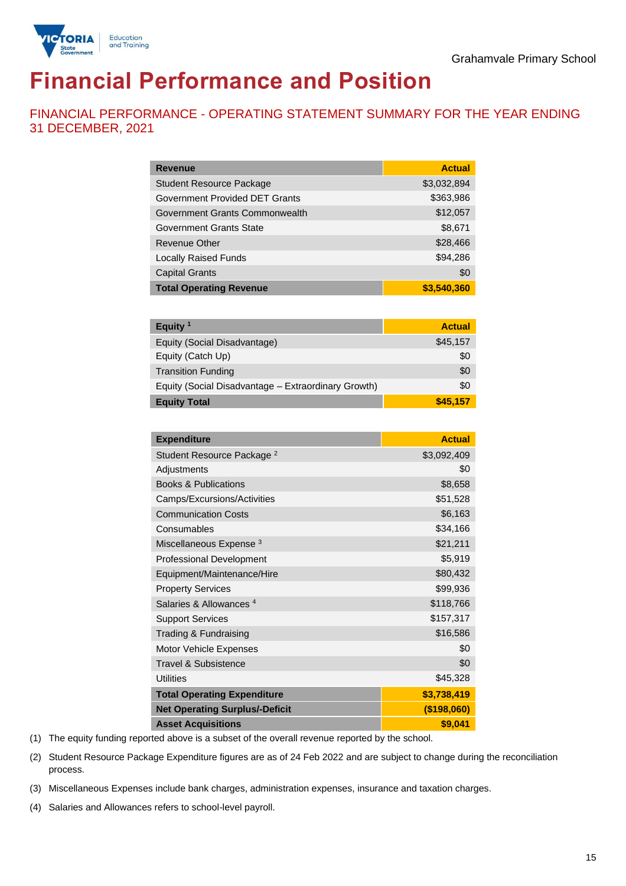

# **Financial Performance and Position**

FINANCIAL PERFORMANCE - OPERATING STATEMENT SUMMARY FOR THE YEAR ENDING 31 DECEMBER, 2021

| <b>Revenue</b>                  | <b>Actual</b> |
|---------------------------------|---------------|
| <b>Student Resource Package</b> | \$3,032,894   |
| Government Provided DET Grants  | \$363,986     |
| Government Grants Commonwealth  | \$12,057      |
| <b>Government Grants State</b>  | \$8,671       |
| Revenue Other                   | \$28,466      |
| <b>Locally Raised Funds</b>     | \$94,286      |
| <b>Capital Grants</b>           | \$0           |
| <b>Total Operating Revenue</b>  | \$3,540,360   |

| Equity $1$                                          | <b>Actual</b> |
|-----------------------------------------------------|---------------|
| Equity (Social Disadvantage)                        | \$45,157      |
| Equity (Catch Up)                                   | \$0           |
| <b>Transition Funding</b>                           | \$0           |
| Equity (Social Disadvantage - Extraordinary Growth) | \$0           |
| <b>Equity Total</b>                                 | \$45,157      |

| <b>Expenditure</b>                    | <b>Actual</b> |
|---------------------------------------|---------------|
| Student Resource Package <sup>2</sup> | \$3,092,409   |
| Adjustments                           | \$0           |
| <b>Books &amp; Publications</b>       | \$8,658       |
| Camps/Excursions/Activities           | \$51,528      |
| <b>Communication Costs</b>            | \$6,163       |
| Consumables                           | \$34,166      |
| Miscellaneous Expense <sup>3</sup>    | \$21,211      |
| <b>Professional Development</b>       | \$5,919       |
| Equipment/Maintenance/Hire            | \$80,432      |
| <b>Property Services</b>              | \$99,936      |
| Salaries & Allowances <sup>4</sup>    | \$118,766     |
| <b>Support Services</b>               | \$157,317     |
| Trading & Fundraising                 | \$16,586      |
| Motor Vehicle Expenses                | \$0           |
| Travel & Subsistence                  | \$0           |
| <b>Utilities</b>                      | \$45,328      |
| <b>Total Operating Expenditure</b>    | \$3,738,419   |
| <b>Net Operating Surplus/-Deficit</b> | (\$198,060)   |
| <b>Asset Acquisitions</b>             | \$9,041       |

(1) The equity funding reported above is a subset of the overall revenue reported by the school.

(2) Student Resource Package Expenditure figures are as of 24 Feb 2022 and are subject to change during the reconciliation process.

(3) Miscellaneous Expenses include bank charges, administration expenses, insurance and taxation charges.

(4) Salaries and Allowances refers to school-level payroll.